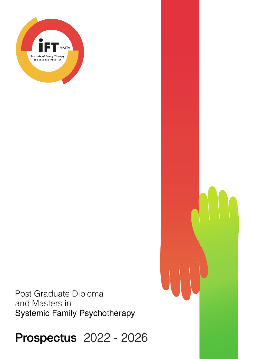

Post Graduate Diploma and Masters in Systemic Family Psychotherapy

**Prospectus 2022 - 2026**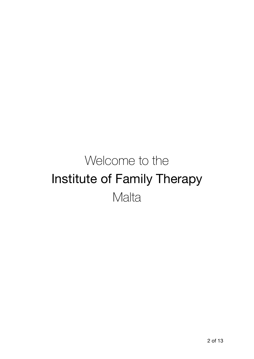# Welcome to the Institute of Family Therapy **Malta**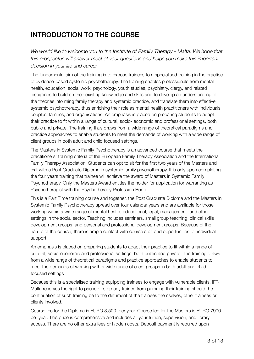# INTRODUCTION TO THE COURSE

*We would like to welcome you to the Institute of Family Therapy - Malta. We hope that this prospectus will answer most of your questions and helps you make this important decision in your life and career.*

The fundamental aim of the training is to expose trainees to a specialised training in the practice of evidence-based systemic psychotherapy. The training enables professionals from mental health, education, social work, psychology, youth studies, psychiatry, clergy, and related disciplines to build on their existing knowledge and skills and to develop an understanding of the theories informing family therapy and systemic practice, and translate them into effective systemic psychotherapy, thus enriching their role as mental health practitioners with individuals, couples, families, and organisations. An emphasis is placed on preparing students to adapt their practice to fit within a range of cultural, socio- economic and professional settings, both public and private. The training thus draws from a wide range of theoretical paradigms and practice approaches to enable students to meet the demands of working with a wide range of client groups in both adult and child focused settings.

The Masters in Systemic Family Psychotherapy is an advanced course that meets the practitioners' training criteria of the European Family Therapy Association and the International Family Therapy Association. Students can opt to sit for the first two years of the Masters and exit with a Post Graduate Diploma in systemic family psychotherapy. It is only upon completing the four years training that trainee will achieve the award of Masters in Systemic Family Psychotherapy. Only the Masters Award entitles the holder for application for warranting as Psychotherapist with the Psychotherapy Profession Board.

This is a Part Time training course and together, the Post Graduate Diploma and the Masters in Systemic Family Psychotherapy spread over four calendar years and are available for those working within a wide range of mental health, educational, legal, management. and other settings in the social sector. Teaching includes seminars, small group teaching, clinical skills development groups, and personal and professional development groups. Because of the nature of the course, there is ample contact with course staff and opportunities for individual support.

An emphasis is placed on preparing students to adapt their practice to fit within a range of cultural, socio-economic and professional settings, both public and private. The training draws from a wide range of theoretical paradigms and practice approaches to enable students to meet the demands of working with a wide range of client groups in both adult and child focused settings

Because this is a specialised training equipping trainees to engage with vulnerable clients, IFT-Malta reserves the right to pause or stop any trainee from pursuing their training should the continuation of such training be to the detriment of the trainees themselves, other trainees or clients involved.

Course fee for the Diploma is EURO 3,500 per year. Course fee for the Masters is EURO 7900 per year. This price is comprehensive and includes all your tuition, supervision, and library access. There are no other extra fees or hidden costs. Deposit payment is required upon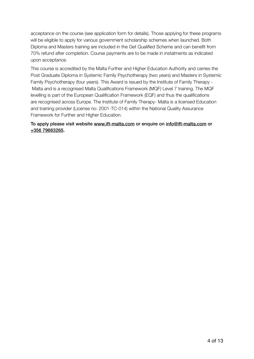acceptance on the course (see application form for details). Those applying for these programs will be eligible to apply for various government scholarship schemes when launched. Both Diploma and Masters training are included in the Get Qualified Scheme and can benefit from 70% refund after completion. Course payments are to be made in instalments as indicated upon acceptance.

This course is accredited by the Malta Further and Higher Education Authority and carries the Post Graduate Diploma in Systemic Family Psychotherapy (two years) and Masters in Systemic Family Psychotherapy (four years). This Award is issued by the Institute of Family Therapy - Malta and is a recognised Malta Qualifications Framework (MQF) Level 7 training. The MQF levelling is part of the European Qualification Framework (EQF) and thus the qualifications are recognised across Europe. The Institute of Family Therapy- Malta is a licensed Education and training provider (License no: 2001-TC-014) within the National Quality Assurance Framework for Further and Higher Education.

#### To apply please visit website www.ift-malta.com or enquire on info@ift-malta.com or +356 79663265.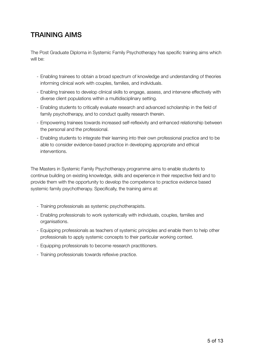# TRAINING AIMS

The Post Graduate Diploma in Systemic Family Psychotherapy has specific training aims which will he:

- Enabling trainees to obtain a broad spectrum of knowledge and understanding of theories informing clinical work with couples, families, and individuals.
- Enabling trainees to develop clinical skills to engage, assess, and intervene effectively with diverse client populations within a multidisciplinary setting.
- Enabling students to critically evaluate research and advanced scholarship in the field of family psychotherapy, and to conduct quality research therein.
- Empowering trainees towards increased self-reflexivity and enhanced relationship between the personal and the professional.
- Enabling students to integrate their learning into their own professional practice and to be able to consider evidence-based practice in developing appropriate and ethical interventions.

The Masters in Systemic Family Psychotherapy programme aims to enable students to continue building on existing knowledge, skills and experience in their respective field and to provide them with the opportunity to develop the competence to practice evidence based systemic family psychotherapy. Specifically, the training aims at:

- Training professionals as systemic psychotherapists.
- Enabling professionals to work systemically with individuals, couples, families and organisations.
- Equipping professionals as teachers of systemic principles and enable them to help other professionals to apply systemic concepts to their particular working context.
- Equipping professionals to become research practitioners.
- Training professionals towards reflexive practice.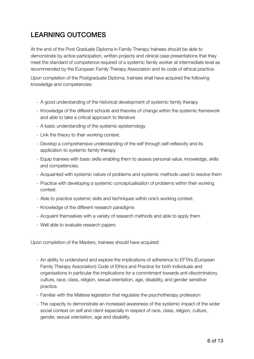# LEARNING OUTCOMES

At the end of the Post Graduate Diploma in Family Therapy trainees should be able to demonstrate by active participation, written projects and clinical case presentations that they meet the standard of competence required of a systemic family worker at intermediate level as recommended by the European Family Therapy Association and its code of ethical practice.

Upon completion of the Postgraduate Diploma, trainees shall have acquired the following knowledge and competencies:

- A good understanding of the historical development of systemic family therapy
- Knowledge of the different schools and theories of change within the systemic framework and able to take a critical approach to literature
- A basic understanding of the systemic epistemology
- Link the theory to their working context.
- Develop a comprehensive understanding of the self through self-reflexivity and its application to systemic family therapy
- Equip trainees with basic skills enabling them to assess personal value, knowledge, skills and competencies.
- Acquainted with systemic nature of problems and systemic methods used to resolve them
- Practice with developing a systemic conceptualisation of problems within their working context.
- Able to practice systemic skills and techniques within one's working context.
- Knowledge of the different research paradigms
- Acquaint themselves with a variety of research methods and able to apply them
- Well able to evaluate research papers

Upon completion of the Masters, trainees should have acquired:

- An ability to understand and explore the implications of adherence to EFTA's (European Family Therapy Association) Code of Ethics and Practice for both individuals and organisations in particular the implications for a commitment towards anti-discriminatory, culture, race, class, religion, sexual orientation, age, disability, and gender sensitive practice.
- Familiar with the Maltese legislation that regulates the psychotherapy profession
- The capacity to demonstrate an increased awareness of the systemic impact of the wider social context on self and client especially in respect of race, class, religion, culture, gender, sexual orientation, age and disability.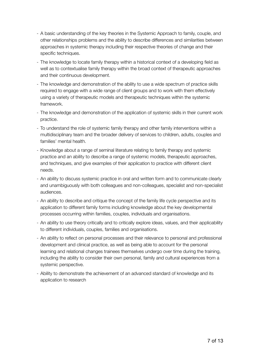- A basic understanding of the key theories in the Systemic Approach to family, couple, and other relationships problems and the ability to describe differences and similarities between approaches in systemic therapy including their respective theories of change and their specific techniques.
- The knowledge to locate family therapy within a historical context of a developing field as well as to contextualise family therapy within the broad context of therapeutic approaches and their continuous development.
- The knowledge and demonstration of the ability to use a wide spectrum of practice skills required to engage with a wide range of client groups and to work with them effectively using a variety of therapeutic models and therapeutic techniques within the systemic framework.
- The knowledge and demonstration of the application of systemic skills in their current work practice.
- To understand the role of systemic family therapy and other family interventions within a multidisciplinary team and the broader delivery of services to children, adults, couples and families' mental health.
- Knowledge about a range of seminal literature relating to family therapy and systemic practice and an ability to describe a range of systemic models, therapeutic approaches, and techniques, and give examples of their application to practice with different client needs.
- An ability to discuss systemic practice in oral and written form and to communicate clearly and unambiguously with both colleagues and non-colleagues, specialist and non-specialist audiences.
- An ability to describe and critique the concept of the family life cycle perspective and its application to different family forms including knowledge about the key developmental processes occurring within families, couples, individuals and organisations.
- An ability to use theory critically and to critically explore ideas, values, and their applicability to different individuals, couples, families and organisations.
- An ability to reflect on personal processes and their relevance to personal and professional development and clinical practice, as well as being able to account for the personal learning and relational changes trainees themselves undergo over time during the training, including the ability to consider their own personal, family and cultural experiences from a systemic perspective.
- Ability to demonstrate the achievement of an advanced standard of knowledge and its application to research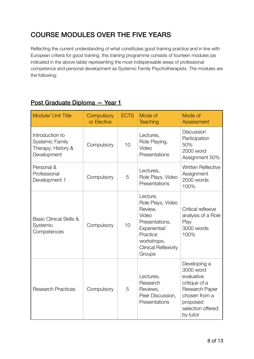# COURSE MODULES OVER THE FIVE YEARS

Reflecting the current understanding of what constitutes good training practice and in line with European criteria for good training, this training programme consists of fourteen modules (as indicated in the above table) representing the most indispensable areas of professional competence and personal development as Systemic Family Psychotherapists. The modules are the following:

#### Module/ Unit Title Compulsory or Elective ECTS Mode of **Teaching** Mode of **Assessment** Introduction to Systemic Family Therapy: History & **Development** Compulsory 10 Lectures, Role Playing, Video **Presentations Discussion Participation** 50% 2000 word Assignment 50% Personal & Professional Protessional Compulsory 5 Lectures, Role Plays, Video **Presentations** Written Reflective **Assignment** 2500 words 100% Basic Clinical Skills & **Systemic Competences** Compulsory 10 Lecture, Role Plays, Video Review, Video Presentations, Experiential/ **Practice** workshops, Clinical Reflexivity **Groups** Critical reflexive analysis of a Role Play 3000 words 100% Research Practices Compulsory 5 Lectures, Research Reviews, Peer Discussion, **Presentations** Developing a 3000 word evaluative critique of a Research Paper chosen from a proposed selection offered by tutor

#### Post Graduate Diploma — Year 1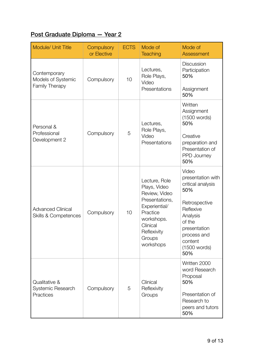# Post Graduate Diploma — Year 2

| Module/ Unit Title                                          | Compulsory<br>or Elective | <b>ECTS</b> | Mode of<br><b>Teaching</b>                                                                                                                                    | Mode of<br>Assessment                                                                                                                                                       |
|-------------------------------------------------------------|---------------------------|-------------|---------------------------------------------------------------------------------------------------------------------------------------------------------------|-----------------------------------------------------------------------------------------------------------------------------------------------------------------------------|
| Contemporary<br>Models of Systemic<br>Family Therapy        | Compulsory                | 10          | Lectures,<br>Role Plays,<br>Video<br>Presentations                                                                                                            | <b>Discussion</b><br>Participation<br>50%<br>Assignment<br>50%                                                                                                              |
| Personal &<br>Professional<br>Development 2                 | Compulsory                | 5           | Lectures,<br>Role Plays,<br>Video<br>Presentations                                                                                                            | Written<br>Assignment<br>(1500 words)<br>50%<br>Creative<br>preparation and<br>Presentation of<br>PPD Journey<br>50%                                                        |
| <b>Advanced Clinical</b><br><b>Skills &amp; Competences</b> | Compulsory                | 10          | Lecture, Role<br>Plays, Video<br>Review, Video<br>Presentations,<br>Experiential/<br>Practice<br>workshops.<br>Clinical<br>Reflexivity<br>Groups<br>workshops | Video<br>presentation with<br>critical analysis<br>50%<br>Retrospective<br>Reflexive<br>Analysis<br>of the<br>presentation<br>process and<br>content<br>(1500 words)<br>50% |
| Qualitative &<br>Systemic Research<br>Practices             | Compulsory                | 5           | Clinical<br>Reflexivity<br>Groups                                                                                                                             | Written 2000<br>word Research<br>Proposal<br>50%<br>Presentation of<br>Research to<br>peers and tutors<br>50%                                                               |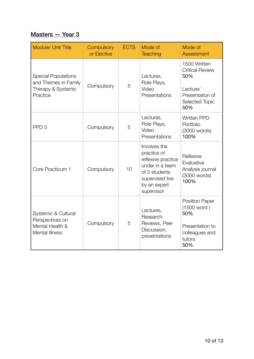#### Masters - Year 3

| <b>Module/ Unit Title</b>                                                            | Compulsory<br>or Elective | <b>ECTS</b> | Mode of<br><b>Teaching</b>                                                                                                             | Mode of<br><b>Assessment</b>                                                                          |
|--------------------------------------------------------------------------------------|---------------------------|-------------|----------------------------------------------------------------------------------------------------------------------------------------|-------------------------------------------------------------------------------------------------------|
| <b>Special Populations</b><br>and Themes in Family<br>Therapy & Systemic<br>Practice | Compulsory                | 5           | Lectures,<br>Role Plays,<br>Video<br>Presentations                                                                                     | 1500 Written<br><b>Critical Review</b><br>50%<br>Lecture/<br>Presentation of<br>Selected Topic<br>50% |
| PPD <sub>3</sub>                                                                     | Compulsory                | 5           | Lectures,<br>Role Plays,<br>Video<br>Presentations                                                                                     | <b>Written PPD</b><br>Portfolio<br>(3000 words)<br>100%                                               |
| Core Practicum 1                                                                     | Compulsory                | 10          | Involves the<br>practice of<br>reflexive practice<br>under in a team<br>of 3 students<br>supervised live<br>by an expert<br>supervisor | Reflexive<br>Evaluative<br>Analysis journal<br>(3000 words)<br>100%                                   |
| Systemic & Cultural<br>Perspectives on<br>Mental Health &<br><b>Mental Illness</b>   | Compulsory                | 5           | Lectures,<br>Research<br>Reviews, Peer<br>Discussion,<br>presentations                                                                 | <b>Position Paper</b><br>(1500 word)<br>50%<br>Presentation to<br>colleagues and<br>tutors<br>50%     |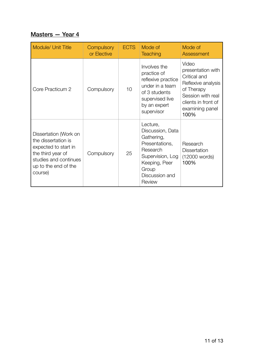#### Masters - Year 4

| <b>Module/ Unit Title</b>                                                                                                                             | <b>Compulsory</b><br>or Elective | <b>ECTS</b> | Mode of<br><b>Teaching</b>                                                                                                                         | Mode of<br>Assessment                                                                                                                                 |
|-------------------------------------------------------------------------------------------------------------------------------------------------------|----------------------------------|-------------|----------------------------------------------------------------------------------------------------------------------------------------------------|-------------------------------------------------------------------------------------------------------------------------------------------------------|
| Core Practicum 2                                                                                                                                      | Compulsory                       | 10          | Involves the<br>practice of<br>reflexive practice<br>under in a team<br>of 3 students<br>supervised live<br>by an expert<br>supervisor             | Video<br>presentation with<br>Critical and<br>Reflexive analysis<br>of Therapy<br>Session with real<br>clients in front of<br>examining panel<br>100% |
| Dissertation (Work on<br>the dissertation is<br>expected to start in<br>the third year of<br>studies and continues<br>up to the end of the<br>course) | Compulsory                       | 25          | Lecture,<br>Discussion, Data<br>Gathering,<br>Presentations,<br>Research<br>Supervision, Log<br>Keeping, Peer<br>Group<br>Discussion and<br>Review | Research<br><b>Dissertation</b><br>(12000 words)<br>100%                                                                                              |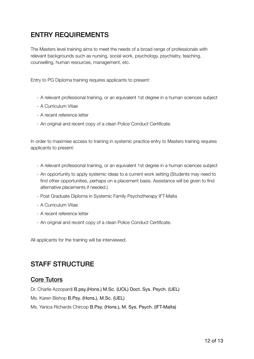## ENTRY REQUIREMENTS

The Masters level training aims to meet the needs of a broad range of professionals with relevant backgrounds such as nursing, social work, psychology, psychiatry, teaching, counselling, human resources, management, etc.

Entry to PG Diploma training requires applicants to present:

- A relevant professional training, or an equivalent 1st degree in a human sciences subject
- A Curriculum Vitae
- A recent reference letter
- An original and recent copy of a clean Police Conduct Certificate.

In order to maximise access to training in systemic practice entry to Masters training requires applicants to present:

- A relevant professional training, or an equivalent 1st degree in a human sciences subject
- An opportunity to apply systemic ideas to a current work setting (Students may need to find other opportunities, perhaps on a placement basis. Assistance will be given to find alternative placements if needed.)
- Post Graduate Diploma in Systemic Family Psychotherapy IFT-Malta
- A Curriculum Vitae
- A recent reference letter
- An original and recent copy of a clean Police Conduct Certificate.

All applicants for the training will be interviewed.

### STAFF STRUCTURE

#### Core Tutors

Dr. Charlie Azzopardi B.psy.(Hons.) M.Sc. (UOL) Doct. Sys. Psych. (UEL)

Ms. Karen Bishop B.Psy. (Hons.), M.Sc. (UEL)

Ms. Yanica Richards Chircop B.Psy. (Hons.), M. Sys. Psych. (IFT-Malta)